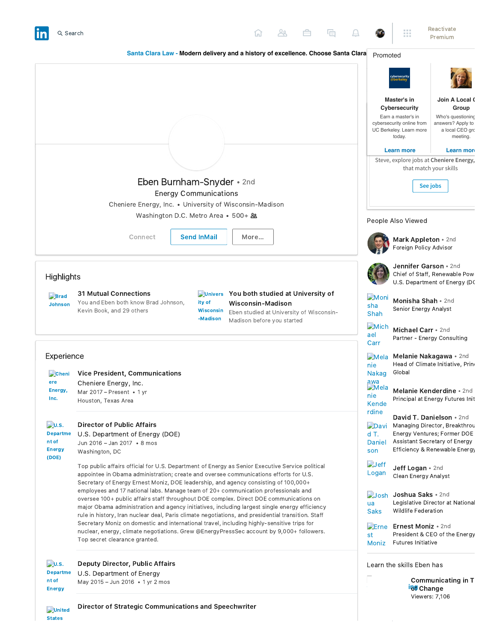

Director of Strategic Communications and Speechwriter

**D**united **States**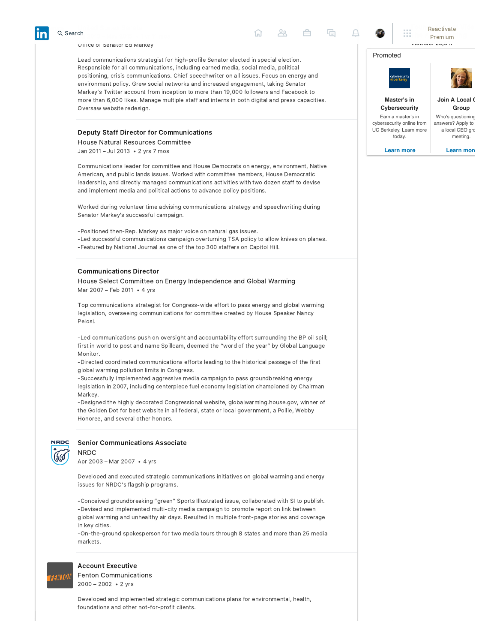## Office of [Senator Ed Markey](https://www.linkedin.com/company/4560/)

United States Senate  $\frac{301}{2013}$  – May 2015  $\cdot$  1 yr 11 mos

Lead communications strategist for high-profile Senator elected in special election. Responsible for all communications, including earned media, social media, political positioning, crisis communications. Chief speechwriter on all issues. Focus on energy and environment policy. Grew social networks and increased engagement, taking Senator Markey's Twitter account from inception to more than 19,000 followers and Facebook to more than 6,000 likes. Manage multiple staff and interns in both digital and press capacities. Oversaw website redesign.

# Deputy Staff Director for Communications

[House Natural Resources Committee](https://www.linkedin.com/search/results/index/?keywords=House%20Natural%20Resources%20Committee)

Jan 2011 – Jul 2013 • 2 yrs 7 mos

Communications leader for committee and House Democrats on energy, environment, Native American, and public lands issues. Worked with committee members, House Democratic leadership, and directly managed communications activities with two dozen staff to devise and implement media and political actions to advance policy positions.

Worked during volunteer time advising communications strategy and speechwriting during Senator Markey's successful campaign.

‑Positioned then‑Rep. Markey as major voice on natural gas issues. ‑Led successful communications campaign overturning TSA policy to allow knives on planes. ‑Featured by National Journal as one of the top 300 staffers on Capitol Hill.

#### [Communications Director](https://www.linkedin.com/search/results/index/?keywords=House%20Select%20Committee%20on%20Energy%20Independence%20and%20Global%20Warming)

House Select Committee on Energy Independence and Global Warming Mar 2007 – Feb 2011 • 4 yrs

Top communications strategist for Congress‑wide effort to pass energy and global warming legislation, overseeing communications for committee created by House Speaker Nancy Pelosi.

‑Led communications push on oversight and accountability effort surrounding the BP oil spill; first in world to post and name Spillcam, deemed the "word of the year" by Global Language Monitor.

‑Directed coordinated communications efforts leading to the historical passage of the first global warming pollution limits in Congress.

‑Successfully implemented aggressive media campaign to pass groundbreaking energy legislation in 2007, including centerpiece fuel economy legislation championed by Chairman Markey.

‑Designed the highly decorated Congressional website, globalwarming.house.gov, winner of the Golden Dot for best website in all federal, state or local government, a Pollie, Webby Honoree, and several other honors.



NRDC

## [Senior Communications Associate](https://www.linkedin.com/company/13608/)

Apr 2003 – Mar 2007 • 4 yrs

Developed and executed strategic communications initiatives on global warming and energy issues for NRDC's flagship programs.

‑Conceived groundbreaking "green" Sports Illustrated issue, collaborated with SI to publish. ‑Devised and implemented multi‑city media campaign to promote report on link between global warming and unhealthy air days. Resulted in multiple front‑page stories and coverage in key cities.

‑On‑the‑ground spokesperson for two media tours through 8 states and more than 25 media markets.



# Account Executive

[Fenton Communications](https://www.linkedin.com/company/19482/) 2000 – 2002 • 2 yrs

Developed and implemented strategic communications plans for environmental, health, foundations and other not-for-profit clients.